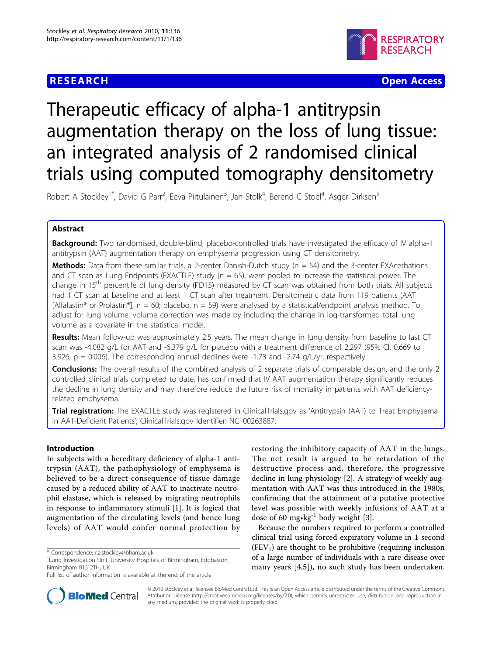## **RESEARCH CONTROL** CONTROL CONTROL CONTROL CONTROL CONTROL CONTROL CONTROL CONTROL CONTROL CONTROL CONTROL CONTROL



# Therapeutic efficacy of alpha-1 antitrypsin augmentation therapy on the loss of lung tissue: an integrated analysis of 2 randomised clinical trials using computed tomography densitometry

Robert A Stockley<sup>1\*</sup>, David G Parr<sup>2</sup>, Eeva Piitulainen<sup>3</sup>, Jan Stolk<sup>4</sup>, Berend C Stoel<sup>4</sup>, Asger Dirksen<sup>5</sup>

## Abstract

**Background:** Two randomised, double-blind, placebo-controlled trials have investigated the efficacy of IV alpha-1 antitrypsin (AAT) augmentation therapy on emphysema progression using CT densitometry.

**Methods:** Data from these similar trials, a 2-center Danish-Dutch study ( $n = 54$ ) and the 3-center EXAcerbations and CT scan as Lung Endpoints (EXACTLE) study ( $n = 65$ ), were pooled to increase the statistical power. The change in 15<sup>th</sup> percentile of lung density (PD15) measured by CT scan was obtained from both trials. All subjects had 1 CT scan at baseline and at least 1 CT scan after treatment. Densitometric data from 119 patients (AAT  $[Alfalastin<sup>®</sup>$  or Prolastin<sup>®</sup>], n = 60; placebo, n = 59) were analysed by a statistical/endpoint analysis method. To adjust for lung volume, volume correction was made by including the change in log-transformed total lung volume as a covariate in the statistical model.

Results: Mean follow-up was approximately 2.5 years. The mean change in lung density from baseline to last CT scan was -4.082 g/L for AAT and -6.379 g/L for placebo with a treatment difference of 2.297 (95% CI, 0.669 to 3.926;  $p = 0.006$ ). The corresponding annual declines were -1.73 and -2.74 g/L/yr, respectively.

**Conclusions:** The overall results of the combined analysis of 2 separate trials of comparable design, and the only 2 controlled clinical trials completed to date, has confirmed that IV AAT augmentation therapy significantly reduces the decline in lung density and may therefore reduce the future risk of mortality in patients with AAT deficiencyrelated emphysema.

Trial registration: The EXACTLE study was registered in ClinicalTrials.gov as 'Antitrypsin (AAT) to Treat Emphysema in AAT-Deficient Patients'; ClinicalTrials.gov Identifier: NCT00263887.

## Introduction

In subjects with a hereditary deficiency of alpha-1 antitrypsin (AAT), the pathophysiology of emphysema is believed to be a direct consequence of tissue damage caused by a reduced ability of AAT to inactivate neutrophil elastase, which is released by migrating neutrophils in response to inflammatory stimuli [[1\]](#page-7-0). It is logical that augmentation of the circulating levels (and hence lung levels) of AAT would confer normal protection by

restoring the inhibitory capacity of AAT in the lungs. The net result is argued to be retardation of the destructive process and, therefore, the progressive decline in lung physiology [\[2](#page-7-0)]. A strategy of weekly augmentation with AAT was thus introduced in the 1980s, confirming that the attainment of a putative protective level was possible with weekly infusions of AAT at a dose of 60 mg $\cdot$ kg<sup>-1</sup> body weight [[3\]](#page-7-0).

Because the numbers required to perform a controlled clinical trial using forced expiratory volume in 1 second  $(FEV<sub>1</sub>)$  are thought to be prohibitive (requiring inclusion of a large number of individuals with a rare disease over many years [\[4,5\]](#page-7-0)), no such study has been undertaken.



© 2010 Stockley et al; licensee BioMed Central Ltd. This is an Open Access article distributed under the terms of the Creative Commons Attribution License [\(http://creativecommons.org/licenses/by/2.0](http://creativecommons.org/licenses/by/2.0)), which permits unrestricted use, distribution, and reproduction in any medium, provided the original work is properly cited.

<sup>\*</sup> Correspondence: [r.a.stockley@bham.ac.uk](mailto:r.a.stockley@bham.ac.uk)

<sup>&</sup>lt;sup>1</sup> Lung Investigation Unit, University Hospitals of Birmingham, Edgbaston, Birmingham B15 2TH, UK

Full list of author information is available at the end of the article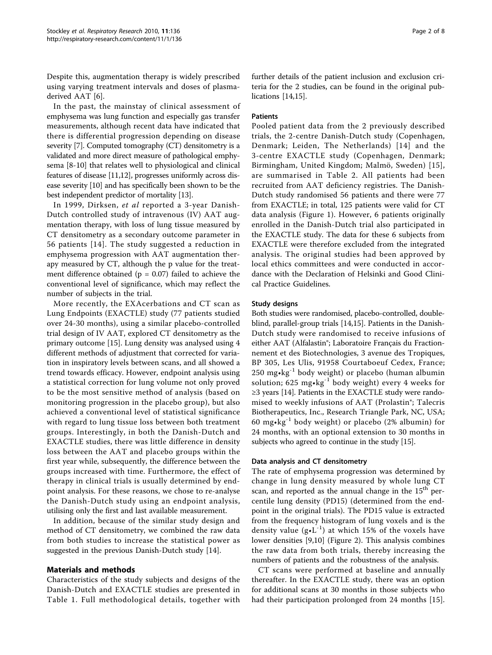Despite this, augmentation therapy is widely prescribed using varying treatment intervals and doses of plasmaderived AAT [[6](#page-7-0)].

In the past, the mainstay of clinical assessment of emphysema was lung function and especially gas transfer measurements, although recent data have indicated that there is differential progression depending on disease severity [\[7](#page-7-0)]. Computed tomography (CT) densitometry is a validated and more direct measure of pathological emphysema [[8-10](#page-7-0)] that relates well to physiological and clinical features of disease [\[11,12](#page-7-0)], progresses uniformly across disease severity [[10](#page-7-0)] and has specifically been shown to be the best independent predictor of mortality [\[13\]](#page-7-0).

In 1999, Dirksen, et al reported a 3-year Danish-Dutch controlled study of intravenous (IV) AAT augmentation therapy, with loss of lung tissue measured by CT densitometry as a secondary outcome parameter in 56 patients [[14](#page-7-0)]. The study suggested a reduction in emphysema progression with AAT augmentation therapy measured by CT, although the p value for the treatment difference obtained ( $p = 0.07$ ) failed to achieve the conventional level of significance, which may reflect the number of subjects in the trial.

More recently, the EXAcerbations and CT scan as Lung Endpoints (EXACTLE) study (77 patients studied over 24-30 months), using a similar placebo-controlled trial design of IV AAT, explored CT densitometry as the primary outcome [[15\]](#page-7-0). Lung density was analysed using 4 different methods of adjustment that corrected for variation in inspiratory levels between scans, and all showed a trend towards efficacy. However, endpoint analysis using a statistical correction for lung volume not only proved to be the most sensitive method of analysis (based on monitoring progression in the placebo group), but also achieved a conventional level of statistical significance with regard to lung tissue loss between both treatment groups. Interestingly, in both the Danish-Dutch and EXACTLE studies, there was little difference in density loss between the AAT and placebo groups within the first year while, subsequently, the difference between the groups increased with time. Furthermore, the effect of therapy in clinical trials is usually determined by endpoint analysis. For these reasons, we chose to re-analyse the Danish-Dutch study using an endpoint analysis, utilising only the first and last available measurement.

In addition, because of the similar study design and method of CT densitometry, we combined the raw data from both studies to increase the statistical power as suggested in the previous Danish-Dutch study [[14](#page-7-0)].

## Materials and methods

Characteristics of the study subjects and designs of the Danish-Dutch and EXACTLE studies are presented in Table [1.](#page-2-0) Full methodological details, together with further details of the patient inclusion and exclusion criteria for the 2 studies, can be found in the original publications [[14,15\]](#page-7-0).

#### Patients

Pooled patient data from the 2 previously described trials, the 2-centre Danish-Dutch study (Copenhagen, Denmark; Leiden, The Netherlands) [[14\]](#page-7-0) and the 3-centre EXACTLE study (Copenhagen, Denmark; Birmingham, United Kingdom; Malmö, Sweden) [[15\]](#page-7-0), are summarised in Table [2](#page-2-0). All patients had been recruited from AAT deficiency registries. The Danish-Dutch study randomised 56 patients and there were 77 from EXACTLE; in total, 125 patients were valid for CT data analysis (Figure [1\)](#page-3-0). However, 6 patients originally enrolled in the Danish-Dutch trial also participated in the EXACTLE study. The data for these 6 subjects from EXACTLE were therefore excluded from the integrated analysis. The original studies had been approved by local ethics committees and were conducted in accordance with the Declaration of Helsinki and Good Clinical Practice Guidelines.

#### Study designs

Both studies were randomised, placebo-controlled, doubleblind, parallel-group trials [[14,15](#page-7-0)]. Patients in the Danish-Dutch study were randomised to receive infusions of either AAT (Alfalastin®; Laboratoire Français du Fractionnement et des Biotechnologies, 3 avenue des Tropiques, BP 305, Les Ulis, 91958 Courtaboeuf Cedex, France;  $250 \text{ mg} \cdot \text{kg}^{-1}$  body weight) or placebo (human albumin solution; 625 mg $\cdot$ kg<sup>-1</sup> body weight) every 4 weeks for  $\geq$ 3 years [\[14](#page-7-0)]. Patients in the EXACTLE study were randomised to weekly infusions of AAT (Prolastin®; Talecris Biotherapeutics, Inc., Research Triangle Park, NC, USA; 60 mg $\cdot$ kg<sup>-1</sup> body weight) or placebo (2% albumin) for 24 months, with an optional extension to 30 months in subjects who agreed to continue in the study [\[15\]](#page-7-0).

#### Data analysis and CT densitometry

The rate of emphysema progression was determined by change in lung density measured by whole lung CT scan, and reported as the annual change in the  $15<sup>th</sup>$  percentile lung density (PD15) (determined from the endpoint in the original trials). The PD15 value is extracted from the frequency histogram of lung voxels and is the density value  $(g \cdot L^{-1})$  at which 15% of the voxels have lower densities [[9,10](#page-7-0)] (Figure [2\)](#page-3-0). This analysis combines the raw data from both trials, thereby increasing the numbers of patients and the robustness of the analysis.

CT scans were performed at baseline and annually thereafter. In the EXACTLE study, there was an option for additional scans at 30 months in those subjects who had their participation prolonged from 24 months [\[15](#page-7-0)].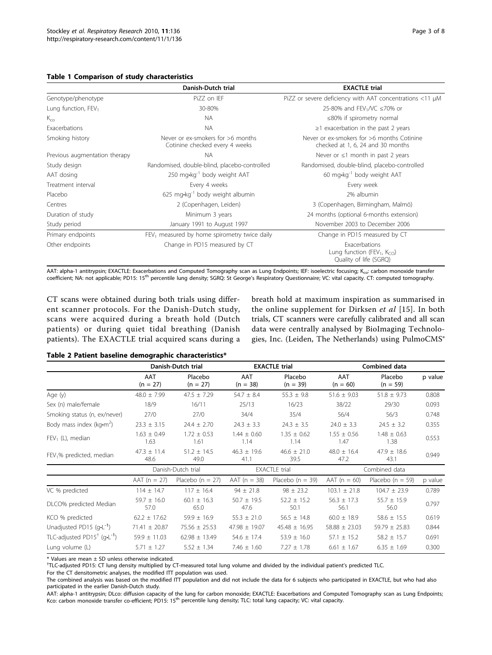<span id="page-2-0"></span>

|                               | Danish-Dutch trial                                                  | <b>EXACTLE trial</b>                                                                           |  |  |  |
|-------------------------------|---------------------------------------------------------------------|------------------------------------------------------------------------------------------------|--|--|--|
| Genotype/phenotype            | PiZZ on IEF                                                         | PiZZ or severe deficiency with AAT concentrations <11 µM                                       |  |  |  |
| Lung function, $FEV1$         | 30-80%                                                              | 25-80% and FEV <sub>1</sub> /VC $\leq$ 70% or                                                  |  |  |  |
| $K_{co}$                      | <b>NA</b>                                                           | ≤80% if spirometry normal                                                                      |  |  |  |
| Exacerbations                 | <b>NA</b>                                                           | $\geq$ 1 exacerbation in the past 2 years                                                      |  |  |  |
| Smoking history               | Never or ex-smokers for >6 months<br>Cotinine checked every 4 weeks | Never or ex-smokers for >6 months Cotinine<br>checked at 1, 6, 24 and 30 months                |  |  |  |
| Previous augmentation therapy | <b>NA</b>                                                           | Never or $\leq 1$ month in past 2 years                                                        |  |  |  |
| Study design                  | Randomised, double-blind, placebo-controlled                        | Randomised, double-blind, placebo-controlled                                                   |  |  |  |
| AAT dosing                    | 250 mg·kg <sup>-1</sup> body weight AAT                             | 60 mg•kg <sup>-1</sup> body weight AAT                                                         |  |  |  |
| Treatment interval            | Every 4 weeks                                                       | Every week                                                                                     |  |  |  |
| Placebo                       | $625$ mg•kg <sup>-1</sup> body weight albumin                       | 2% albumin                                                                                     |  |  |  |
| Centres                       | 2 (Copenhagen, Leiden)                                              | 3 (Copenhagen, Birmingham, Malmö)                                                              |  |  |  |
| Duration of study             | Minimum 3 years                                                     | 24 months (optional 6-months extension)                                                        |  |  |  |
| Study period                  | January 1991 to August 1997                                         | November 2003 to December 2006                                                                 |  |  |  |
| Primary endpoints             | $FEV1$ measured by home spirometry twice daily                      | Change in PD15 measured by CT                                                                  |  |  |  |
| Other endpoints               | Change in PD15 measured by CT                                       | Exacerbations<br>Lung function (FEV <sub>1</sub> , K <sub>CO</sub> )<br>Quality of life (SGRQ) |  |  |  |

AAT: alpha-1 antitrypsin; EXACTLE: Exacerbations and Computed Tomography scan as Lung Endpoints; IEF: isoelectric focusing; K<sub>co</sub>: carbon monoxide transfer coefficient; NA: not applicable; PD15: 15th percentile lung density; SGRQ: St George's Respiratory Questionnaire; VC: vital capacity. CT: computed tomography.

CT scans were obtained during both trials using different scanner protocols. For the Danish-Dutch study, scans were acquired during a breath hold (Dutch patients) or during quiet tidal breathing (Danish patients). The EXACTLE trial acquired scans during a

breath hold at maximum inspiration as summarised in the online supplement for Dirksen et al [[15\]](#page-7-0). In both trials, CT scanners were carefully calibrated and all scan data were centrally analysed by BioImaging Technologies, Inc. (Leiden, The Netherlands) using PulmoCMS®

#### Table 2 Patient baseline demographic characteristics\*

|                                            | Danish-Dutch trial      |                         | <b>EXACTLE trial</b>    |                         | Combined data           |                         |         |
|--------------------------------------------|-------------------------|-------------------------|-------------------------|-------------------------|-------------------------|-------------------------|---------|
|                                            | AAT<br>$(n = 27)$       | Placebo<br>$(n = 27)$   | AAT<br>$(n = 38)$       | Placebo<br>$(n = 39)$   | AAT<br>$(n = 60)$       | Placebo<br>$(n = 59)$   | p value |
| Age (y)                                    | $48.0 \pm 7.99$         | $47.5 \pm 7.29$         | $54.7 \pm 8.4$          | $55.3 \pm 9.8$          | $51.6 \pm 9.03$         | $51.8 \pm 9.73$         | 0.808   |
| Sex (n) male/female                        | 18/9                    | 16/11                   | 25/13                   | 16/23                   | 38/22                   | 29/30                   | 0.093   |
| Smoking status (n, ex/never)               | 27/0                    | 27/0                    | 34/4                    | 35/4                    | 56/4                    | 56/3                    | 0.748   |
| Body mass index ( $kg·m2$ )                | $23.3 \pm 3.15$         | $24.4 \pm 2.70$         | $24.3 \pm 3.3$          | $24.3 \pm 3.5$          | $24.0 \pm 3.3$          | $24.5 \pm 3.2$          | 0.355   |
| $FEV_1$ (L), median                        | $1.63 \pm 0.49$<br>1.63 | $1.72 \pm 0.53$<br>1.61 | $1.44 \pm 0.60$<br>1.14 | $1.35 \pm 0.62$<br>1.14 | $1.55 \pm 0.56$<br>1.47 | $1.48 \pm 0.63$<br>1.38 | 0.553   |
| $FEV1%$ predicted, median                  | $47.3 + 11.4$<br>48.6   | $51.2 \pm 14.5$<br>49.0 | $46.3 \pm 19.6$<br>41.1 | $46.6 \pm 21.0$<br>39.5 | $48.0 \pm 16.4$<br>47.2 | $47.9 \pm 18.6$<br>43.1 | 0.949   |
|                                            |                         | Danish-Dutch trial      |                         | <b>EXACTLE</b> trial    |                         | Combined data           |         |
|                                            | $AAT (n = 27)$          | Placebo ( $n = 27$ )    | $AAT (n = 38)$          | Placebo ( $n = 39$ )    | $AAT (n = 60)$          | Placebo ( $n = 59$ )    | p value |
| VC % predicted                             | $114 \pm 14.7$          | $117 \pm 16.4$          | $94 \pm 21.8$           | $98 \pm 23.2$           | $103.1 \pm 21.8$        | $104.7 \pm 23.9$        | 0.789   |
| DLCO% predicted Median                     | $59.7 \pm 16.0$<br>57.0 | $60.1 \pm 16.3$<br>65.0 | $50.7 \pm 19.5$<br>47.6 | $52.2 \pm 15.2$<br>50.1 | $56.3 \pm 17.3$<br>56.1 | $55.7 \pm 15.9$<br>56.0 | 0.797   |
| KCO % predicted                            | $62.2 \pm 17.62$        | $59.9 \pm 16.9$         | $55.3 \pm 21.0$         | $56.5 \pm 14.8$         | $60.0 \pm 18.9$         | $58.6 \pm 15.5$         | 0.619   |
| Unadjusted PD15 $(q-1)$                    | $71.41 \pm 20.87$       | $75.56 \pm 25.53$       | $47.98 \pm 19.07$       | $45.48 \pm 16.95$       | $58.88 \pm 23.03$       | $59.79 \pm 25.83$       | 0.844   |
| TLC-adjusted $PD15^+$ (g·L <sup>-1</sup> ) | $59.9 \pm 11.03$        | $62.98 \pm 13.49$       | $54.6 \pm 17.4$         | $53.9 \pm 16.0$         | $57.1 \pm 15.2$         | $58.2 \pm 15.7$         | 0.691   |
| Lung volume (L)                            | $5.71 \pm 1.27$         | $5.52 \pm 1.34$         | $7.46 \pm 1.60$         | $7.27 \pm 1.78$         | $6.61 \pm 1.67$         | $6.35 \pm 1.69$         | 0.300   |

 $*$  Values are mean  $\pm$  SD unless otherwise indicated.

† TLC-adjusted PD15: CT lung density multiplied by CT-measured total lung volume and divided by the individual patient's predicted TLC.

For the CT densitometric analyses, the modified ITT population was used.

The combined analysis was based on the modified ITT population and did not include the data for 6 subjects who participated in EXACTLE, but who had also participated in the earlier Danish-Dutch study.

AAT: alpha-1 antitrypsin; DLco: diffusion capacity of the lung for carbon monoxide; EXACTLE: Exacerbations and Computed Tomography scan as Lung Endpoints; Kco: carbon monoxide transfer co-efficient; PD15: 15<sup>th</sup> percentile lung density; TLC: total lung capacity; VC: vital capacity.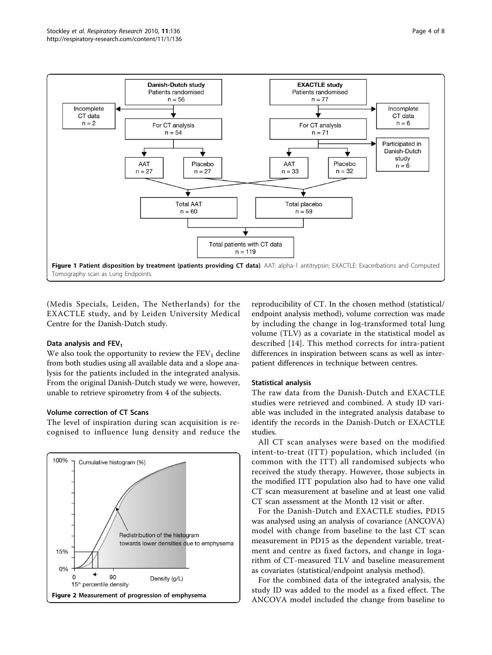<span id="page-3-0"></span>

(Medis Specials, Leiden, The Netherlands) for the EXACTLE study, and by Leiden University Medical Centre for the Danish-Dutch study.

#### Data analysis and  $FEV<sub>1</sub>$

We also took the opportunity to review the  $FEV<sub>1</sub>$  decline from both studies using all available data and a slope analysis for the patients included in the integrated analysis. From the original Danish-Dutch study we were, however, unable to retrieve spirometry from 4 of the subjects.

#### Volume correction of CT Scans

The level of inspiration during scan acquisition is recognised to influence lung density and reduce the



reproducibility of CT. In the chosen method (statistical/ endpoint analysis method), volume correction was made by including the change in log-transformed total lung volume (TLV) as a covariate in the statistical model as described [\[14\]](#page-7-0). This method corrects for intra-patient differences in inspiration between scans as well as interpatient differences in technique between centres.

#### Statistical analysis

The raw data from the Danish-Dutch and EXACTLE studies were retrieved and combined. A study ID variable was included in the integrated analysis database to identify the records in the Danish-Dutch or EXACTLE studies.

All CT scan analyses were based on the modified intent-to-treat (ITT) population, which included (in common with the ITT) all randomised subjects who received the study therapy. However, those subjects in the modified ITT population also had to have one valid CT scan measurement at baseline and at least one valid CT scan assessment at the Month 12 visit or after.

For the Danish-Dutch and EXACTLE studies, PD15 was analysed using an analysis of covariance (ANCOVA) model with change from baseline to the last CT scan measurement in PD15 as the dependent variable, treatment and centre as fixed factors, and change in logarithm of CT-measured TLV and baseline measurement as covariates (statistical/endpoint analysis method).

For the combined data of the integrated analysis, the study ID was added to the model as a fixed effect. The ANCOVA model included the change from baseline to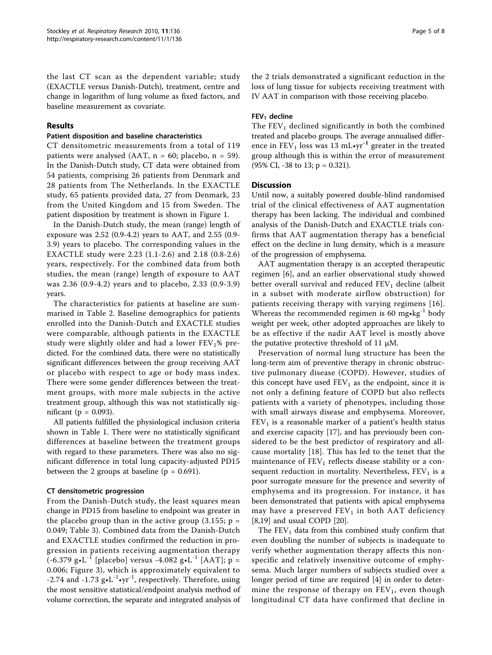the last CT scan as the dependent variable; study (EXACTLE versus Danish-Dutch), treatment, centre and change in logarithm of lung volume as fixed factors, and baseline measurement as covariate.

### Results

#### Patient disposition and baseline characteristics

CT densitometric measurements from a total of 119 patients were analysed (AAT,  $n = 60$ ; placebo,  $n = 59$ ). In the Danish-Dutch study, CT data were obtained from 54 patients, comprising 26 patients from Denmark and 28 patients from The Netherlands. In the EXACTLE study, 65 patients provided data, 27 from Denmark, 23 from the United Kingdom and 15 from Sweden. The patient disposition by treatment is shown in Figure [1](#page-3-0).

In the Danish-Dutch study, the mean (range) length of exposure was 2.52 (0.9-4.2) years to AAT, and 2.55 (0.9- 3.9) years to placebo. The corresponding values in the EXACTLE study were 2.23 (1.1-2.6) and 2.18 (0.8-2.6) years, respectively. For the combined data from both studies, the mean (range) length of exposure to AAT was 2.36 (0.9-4.2) years and to placebo, 2.33 (0.9-3.9) years.

The characteristics for patients at baseline are summarised in Table [2.](#page-2-0) Baseline demographics for patients enrolled into the Danish-Dutch and EXACTLE studies were comparable, although patients in the EXACTLE study were slightly older and had a lower  $FEV<sub>1</sub>%$  predicted. For the combined data, there were no statistically significant differences between the group receiving AAT or placebo with respect to age or body mass index. There were some gender differences between the treatment groups, with more male subjects in the active treatment group, although this was not statistically significant ( $p = 0.093$ ).

All patients fulfilled the physiological inclusion criteria shown in Table [1](#page-2-0). There were no statistically significant differences at baseline between the treatment groups with regard to these parameters. There was also no significant difference in total lung capacity-adjusted PD15 between the 2 groups at baseline ( $p = 0.691$ ).

## CT densitometric progression

From the Danish-Dutch study, the least squares mean change in PD15 from baseline to endpoint was greater in the placebo group than in the active group  $(3.155; p =$ 0.049; Table [3](#page-5-0)). Combined data from the Danish-Dutch and EXACTLE studies confirmed the reduction in progression in patients receiving augmentation therapy  $(-6.379 \text{ g} \cdot \text{L}^{-1}$  [placebo] versus -4.082 g $\text{g} \cdot \text{L}^{-1}$  [AAT]; p = 0.006; Figure [3](#page-5-0)), which is approximately equivalent to -2.74 and -1.73  $g \cdot L^{-1} \cdot yr^{-1}$ , respectively. Therefore, using the most sensitive statistical/endpoint analysis method of volume correction, the separate and integrated analysis of the 2 trials demonstrated a significant reduction in the loss of lung tissue for subjects receiving treatment with IV AAT in comparison with those receiving placebo.

## $FEV<sub>1</sub>$  decline

The  $FEV<sub>1</sub>$  declined significantly in both the combined treated and placebo groups. The average annualised difference in FEV<sub>1</sub> loss was 13 mL $\cdot$ vr<sup>-1</sup> greater in the treated group although this is within the error of measurement (95% CI, -38 to 13; p = 0.321).

#### **Discussion**

Until now, a suitably powered double-blind randomised trial of the clinical effectiveness of AAT augmentation therapy has been lacking. The individual and combined analysis of the Danish-Dutch and EXACTLE trials confirms that AAT augmentation therapy has a beneficial effect on the decline in lung density, which is a measure of the progression of emphysema.

AAT augmentation therapy is an accepted therapeutic regimen [[6\]](#page-7-0), and an earlier observational study showed better overall survival and reduced  $FEV<sub>1</sub>$  decline (albeit in a subset with moderate airflow obstruction) for patients receiving therapy with varying regimens [[16](#page-7-0)]. Whereas the recommended regimen is 60 mg $\cdot$ kg<sup>-1</sup> body weight per week, other adopted approaches are likely to be as effective if the nadir AAT level is mostly above the putative protective threshold of 11 μM.

Preservation of normal lung structure has been the long-term aim of preventive therapy in chronic obstructive pulmonary disease (COPD). However, studies of this concept have used  $FEV<sub>1</sub>$  as the endpoint, since it is not only a defining feature of COPD but also reflects patients with a variety of phenotypes, including those with small airways disease and emphysema. Moreover,  $FEV<sub>1</sub>$  is a reasonable marker of a patient's health status and exercise capacity [[17](#page-7-0)], and has previously been considered to be the best predictor of respiratory and allcause mortality [[18\]](#page-7-0). This has led to the tenet that the maintenance of  $FEV<sub>1</sub>$  reflects disease stability or a consequent reduction in mortality. Nevertheless,  $FEV<sub>1</sub>$  is a poor surrogate measure for the presence and severity of emphysema and its progression. For instance, it has been demonstrated that patients with apical emphysema may have a preserved  $FEV<sub>1</sub>$  in both AAT deficiency [[8,19\]](#page-7-0) and usual COPD [\[20\]](#page-7-0).

The  $FEV<sub>1</sub>$  data from this combined study confirm that even doubling the number of subjects is inadequate to verify whether augmentation therapy affects this nonspecific and relatively insensitive outcome of emphysema. Much larger numbers of subjects studied over a longer period of time are required [[4\]](#page-7-0) in order to determine the response of therapy on  $FEV<sub>1</sub>$ , even though longitudinal CT data have confirmed that decline in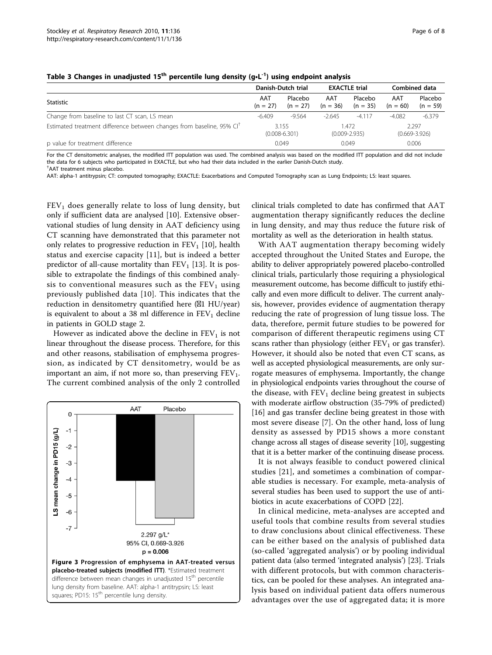|                                                                                   | Danish-Dutch trial |                            | <b>EXACTLE trial</b> |                            | Combined data     |                            |  |
|-----------------------------------------------------------------------------------|--------------------|----------------------------|----------------------|----------------------------|-------------------|----------------------------|--|
| Statistic                                                                         |                    | Placebo<br>$(n = 27)$      | AAT<br>$(n = 36)$    | Placebo<br>$(n = 35)$      | AAT<br>$(n = 60)$ | Placebo<br>$(n = 59)$      |  |
| Change from baseline to last CT scan, LS mean                                     | $-6.409$           | $-9.564$                   | $-2.645$             | $-4.117$                   | $-4.082$          | $-6.379$                   |  |
| Estimated treatment difference between changes from baseline, 95% CI <sup>†</sup> |                    | 3.155<br>$(0.008 - 6.301)$ |                      | 1.472<br>$(0.009 - 2.935)$ |                   | 2.297<br>$(0.669 - 3.926)$ |  |
| p value for treatment difference                                                  |                    | 0.049                      |                      | 0.049                      |                   | 0.006                      |  |

<span id="page-5-0"></span>Table 3 Changes in unadjusted 15<sup>th</sup> percentile lung density (g·L<sup>-1</sup>) using endpoint analysis

For the CT densitometric analyses, the modified ITT population was used. The combined analysis was based on the modified ITT population and did not include the data for 6 subjects who participated in EXACTLE, but who had their data included in the earlier Danish-Dutch study. † AAT treatment minus placebo.

AAT: alpha-1 antitrypsin; CT: computed tomography; EXACTLE: Exacerbations and Computed Tomography scan as Lung Endpoints; LS: least squares.

 $FEV<sub>1</sub>$  does generally relate to loss of lung density, but only if sufficient data are analysed [\[10](#page-7-0)]. Extensive observational studies of lung density in AAT deficiency using CT scanning have demonstrated that this parameter not only relates to progressive reduction in  $FEV<sub>1</sub>$  [\[10](#page-7-0)], health status and exercise capacity [[11\]](#page-7-0), but is indeed a better predictor of all-cause mortality than  $FEV<sub>1</sub>$  [[13](#page-7-0)]. It is possible to extrapolate the findings of this combined analysis to conventional measures such as the  $FEV<sub>1</sub>$  using previously published data [[10\]](#page-7-0). This indicates that the reduction in densitometry quantified here  $(\boxtimes 1$  HU/year) is equivalent to about a 38 ml difference in  $FEV<sub>1</sub>$  decline in patients in GOLD stage 2.

However as indicated above the decline in  $FEV<sub>1</sub>$  is not linear throughout the disease process. Therefore, for this and other reasons, stabilisation of emphysema progression, as indicated by CT densitometry, would be as important an aim, if not more so, than preserving  $FEV_1$ . The current combined analysis of the only 2 controlled



clinical trials completed to date has confirmed that AAT augmentation therapy significantly reduces the decline in lung density, and may thus reduce the future risk of mortality as well as the deterioration in health status.

With AAT augmentation therapy becoming widely accepted throughout the United States and Europe, the ability to deliver appropriately powered placebo-controlled clinical trials, particularly those requiring a physiological measurement outcome, has become difficult to justify ethically and even more difficult to deliver. The current analysis, however, provides evidence of augmentation therapy reducing the rate of progression of lung tissue loss. The data, therefore, permit future studies to be powered for comparison of different therapeutic regimens using CT scans rather than physiology (either  $FEV<sub>1</sub>$  or gas transfer). However, it should also be noted that even CT scans, as well as accepted physiological measurements, are only surrogate measures of emphysema. Importantly, the change in physiological endpoints varies throughout the course of the disease, with  $FEV<sub>1</sub>$  decline being greatest in subjects with moderate airflow obstruction (35-79% of predicted) [[16\]](#page-7-0) and gas transfer decline being greatest in those with most severe disease [[7\]](#page-7-0). On the other hand, loss of lung density as assessed by PD15 shows a more constant change across all stages of disease severity [\[10\]](#page-7-0), suggesting that it is a better marker of the continuing disease process.

It is not always feasible to conduct powered clinical studies [[21\]](#page-7-0), and sometimes a combination of comparable studies is necessary. For example, meta-analysis of several studies has been used to support the use of antibiotics in acute exacerbations of COPD [\[22](#page-7-0)].

In clinical medicine, meta-analyses are accepted and useful tools that combine results from several studies to draw conclusions about clinical effectiveness. These can be either based on the analysis of published data (so-called 'aggregated analysis') or by pooling individual patient data (also termed 'integrated analysis') [\[23](#page-7-0)]. Trials with different protocols, but with common characteristics, can be pooled for these analyses. An integrated analysis based on individual patient data offers numerous advantages over the use of aggregated data; it is more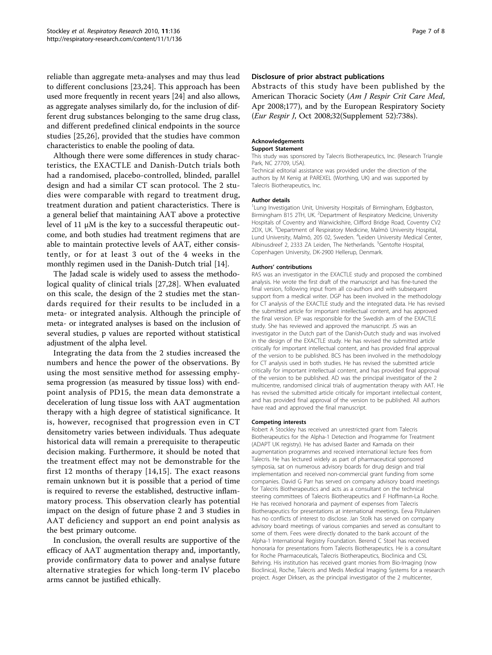reliable than aggregate meta-analyses and may thus lead to different conclusions [\[23,24](#page-7-0)]. This approach has been used more frequently in recent years [\[24](#page-7-0)] and also allows, as aggregate analyses similarly do, for the inclusion of different drug substances belonging to the same drug class, and different predefined clinical endpoints in the source studies [\[25](#page-7-0),[26\]](#page-7-0), provided that the studies have common characteristics to enable the pooling of data.

Although there were some differences in study characteristics, the EXACTLE and Danish-Dutch trials both had a randomised, placebo-controlled, blinded, parallel design and had a similar CT scan protocol. The 2 studies were comparable with regard to treatment drug, treatment duration and patient characteristics. There is a general belief that maintaining AAT above a protective level of 11 μM is the key to a successful therapeutic outcome, and both studies had treatment regimens that are able to maintain protective levels of AAT, either consistently, or for at least 3 out of the 4 weeks in the monthly regimen used in the Danish-Dutch trial [[14](#page-7-0)].

The Jadad scale is widely used to assess the methodological quality of clinical trials [\[27](#page-7-0),[28\]](#page-7-0). When evaluated on this scale, the design of the 2 studies met the standards required for their results to be included in a meta- or integrated analysis. Although the principle of meta- or integrated analyses is based on the inclusion of several studies, p values are reported without statistical adjustment of the alpha level.

Integrating the data from the 2 studies increased the numbers and hence the power of the observations. By using the most sensitive method for assessing emphysema progression (as measured by tissue loss) with endpoint analysis of PD15, the mean data demonstrate a deceleration of lung tissue loss with AAT augmentation therapy with a high degree of statistical significance. It is, however, recognised that progression even in CT densitometry varies between individuals. Thus adequate historical data will remain a prerequisite to therapeutic decision making. Furthermore, it should be noted that the treatment effect may not be demonstrable for the first 12 months of therapy [[14,15](#page-7-0)]. The exact reasons remain unknown but it is possible that a period of time is required to reverse the established, destructive inflammatory process. This observation clearly has potential impact on the design of future phase 2 and 3 studies in AAT deficiency and support an end point analysis as the best primary outcome.

In conclusion, the overall results are supportive of the efficacy of AAT augmentation therapy and, importantly, provide confirmatory data to power and analyse future alternative strategies for which long-term IV placebo arms cannot be justified ethically.

#### Disclosure of prior abstract publications

Abstracts of this study have been published by the American Thoracic Society (Am J Respir Crit Care Med, Apr 2008;177), and by the European Respiratory Society (Eur Respir J, Oct 2008;32(Supplement 52):738s).

#### Acknowledgements

#### Support Statement

This study was sponsored by Talecris Biotherapeutics, Inc. (Research Triangle Park, NC 27709, USA).

Technical editorial assistance was provided under the direction of the authors by M Kenig at PAREXEL (Worthing, UK) and was supported by Talecris Biotherapeutics, Inc.

#### Author details

<sup>1</sup> Lung Investigation Unit, University Hospitals of Birmingham, Edgbaston, Birmingham B15 2TH, UK. <sup>2</sup>Department of Respiratory Medicine, University Hospitals of Coventry and Warwickshire, Clifford Bridge Road, Coventry CV2 2DX, UK. <sup>3</sup>Department of Respiratory Medicine, Malmö University Hospital Lund University, Malmö, 205 02, Sweden. <sup>4</sup>Leiden University Medical Center Albinusdreef 2, 2333 ZA Leiden, The Netherlands. <sup>5</sup>Gentofte Hospital Copenhagen University, DK-2900 Hellerup, Denmark.

#### Authors' contributions

RAS was an investigator in the EXACTLE study and proposed the combined analysis. He wrote the first draft of the manuscript and has fine-tuned the final version, following input from all co-authors and with subsequent support from a medical writer. DGP has been involved in the methodology for CT analysis of the EXACTLE study and the integrated data. He has revised the submitted article for important intellectual content, and has approved the final version. EP was responsible for the Swedish arm of the EXACTLE study. She has reviewed and approved the manuscript. JS was an investigator in the Dutch part of the Danish-Dutch study and was involved in the design of the EXACTLE study. He has revised the submitted article critically for important intellectual content, and has provided final approval of the version to be published. BCS has been involved in the methodology for CT analysis used in both studies. He has revised the submitted article critically for important intellectual content, and has provided final approval of the version to be published. AD was the principal investigator of the 2 multicentre, randomised clinical trials of augmentation therapy with AAT. He has revised the submitted article critically for important intellectual content, and has provided final approval of the version to be published. All authors have read and approved the final manuscript.

#### Competing interests

Robert A Stockley has received an unrestricted grant from Talecris Biotherapeutics for the Alpha-1 Detection and Programme for Treatment (ADAPT UK registry). He has advised Baxter and Kamada on their augmentation programmes and received international lecture fees from Talecris. He has lectured widely as part of pharmaceutical sponsored symposia, sat on numerous advisory boards for drug design and trial implementation and received non-commercial grant funding from some companies. David G Parr has served on company advisory board meetings for Talecris Biotherapeutics and acts as a consultant on the technical steering committees of Talecris Biotherapeutics and F Hoffmann-La Roche. He has received honoraria and payment of expenses from Talecris Biotherapeutics for presentations at international meetings. Eeva Piitulainen has no conflicts of interest to disclose. Jan Stolk has served on company advisory board meetings of various companies and served as consultant to some of them. Fees were directly donated to the bank account of the Alpha-1 International Registry Foundation. Berend C Stoel has received honoraria for presentations from Talecris Biotherapeutics. He is a consultant for Roche Pharmaceuticals, Talecris Biotherapeutics, Bioclinica and CSL Behring. His institution has received grant monies from Bio-Imaging (now Bioclinica), Roche, Talecris and Medis Medical Imaging Systems for a research project. Asger Dirksen, as the principal investigator of the 2 multicenter,